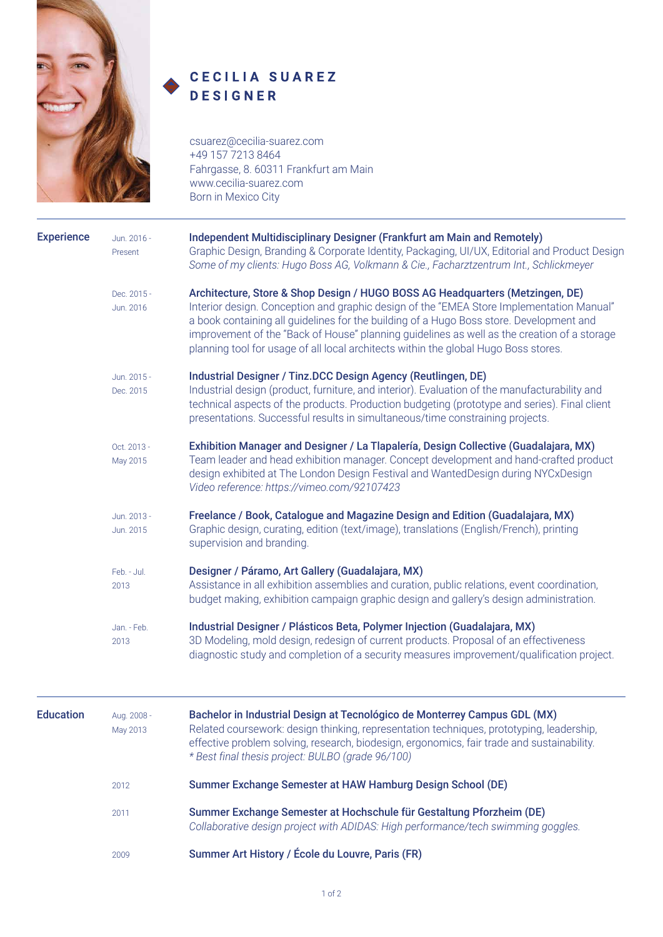

## CECILIA SUAREZ **DESIGNER**

csuarez@cecilia-suarez.com +49 157 7213 8464 Fahrgasse, 8. 60311 Frankfurt am Main www.cecilia-suarez.com Born in Mexico City

| <b>Experience</b> | Jun. 2016 -<br>Present   | Independent Multidisciplinary Designer (Frankfurt am Main and Remotely)<br>Graphic Design, Branding & Corporate Identity, Packaging, UI/UX, Editorial and Product Design<br>Some of my clients: Hugo Boss AG, Volkmann & Cie., Facharztzentrum Int., Schlickmeyer                                                                                                                                                                                          |
|-------------------|--------------------------|------------------------------------------------------------------------------------------------------------------------------------------------------------------------------------------------------------------------------------------------------------------------------------------------------------------------------------------------------------------------------------------------------------------------------------------------------------|
|                   | Dec. 2015 -<br>Jun. 2016 | Architecture, Store & Shop Design / HUGO BOSS AG Headquarters (Metzingen, DE)<br>Interior design. Conception and graphic design of the "EMEA Store Implementation Manual"<br>a book containing all guidelines for the building of a Hugo Boss store. Development and<br>improvement of the "Back of House" planning guidelines as well as the creation of a storage<br>planning tool for usage of all local architects within the global Hugo Boss stores. |
|                   | Jun. 2015 -<br>Dec. 2015 | Industrial Designer / Tinz.DCC Design Agency (Reutlingen, DE)<br>Industrial design (product, furniture, and interior). Evaluation of the manufacturability and<br>technical aspects of the products. Production budgeting (prototype and series). Final client<br>presentations. Successful results in simultaneous/time constraining projects.                                                                                                            |
|                   | Oct. 2013 -<br>May 2015  | Exhibition Manager and Designer / La Tlapalería, Design Collective (Guadalajara, MX)<br>Team leader and head exhibition manager. Concept development and hand-crafted product<br>design exhibited at The London Design Festival and WantedDesign during NYCxDesign<br>Video reference: https://vimeo.com/92107423                                                                                                                                          |
|                   | Jun. 2013 -<br>Jun. 2015 | Freelance / Book, Catalogue and Magazine Design and Edition (Guadalajara, MX)<br>Graphic design, curating, edition (text/image), translations (English/French), printing<br>supervision and branding.                                                                                                                                                                                                                                                      |
|                   | Feb. - Jul.<br>2013      | Designer / Páramo, Art Gallery (Guadalajara, MX)<br>Assistance in all exhibition assemblies and curation, public relations, event coordination,<br>budget making, exhibition campaign graphic design and gallery's design administration.                                                                                                                                                                                                                  |
|                   | Jan. - Feb.<br>2013      | Industrial Designer / Plásticos Beta, Polymer Injection (Guadalajara, MX)<br>3D Modeling, mold design, redesign of current products. Proposal of an effectiveness<br>diagnostic study and completion of a security measures improvement/qualification project.                                                                                                                                                                                             |
| <b>Education</b>  | Aug. 2008 -<br>May 2013  | Bachelor in Industrial Design at Tecnológico de Monterrey Campus GDL (MX)<br>Related coursework: design thinking, representation techniques, prototyping, leadership,<br>effective problem solving, research, biodesign, ergonomics, fair trade and sustainability.<br>* Best final thesis project: BULBO (grade 96/100)                                                                                                                                   |
|                   | 2012                     | Summer Exchange Semester at HAW Hamburg Design School (DE)                                                                                                                                                                                                                                                                                                                                                                                                 |
|                   | 2011                     | Summer Exchange Semester at Hochschule für Gestaltung Pforzheim (DE)<br>Collaborative design project with ADIDAS: High performance/tech swimming goggles.                                                                                                                                                                                                                                                                                                  |
|                   | 2009                     | Summer Art History / École du Louvre, Paris (FR)                                                                                                                                                                                                                                                                                                                                                                                                           |